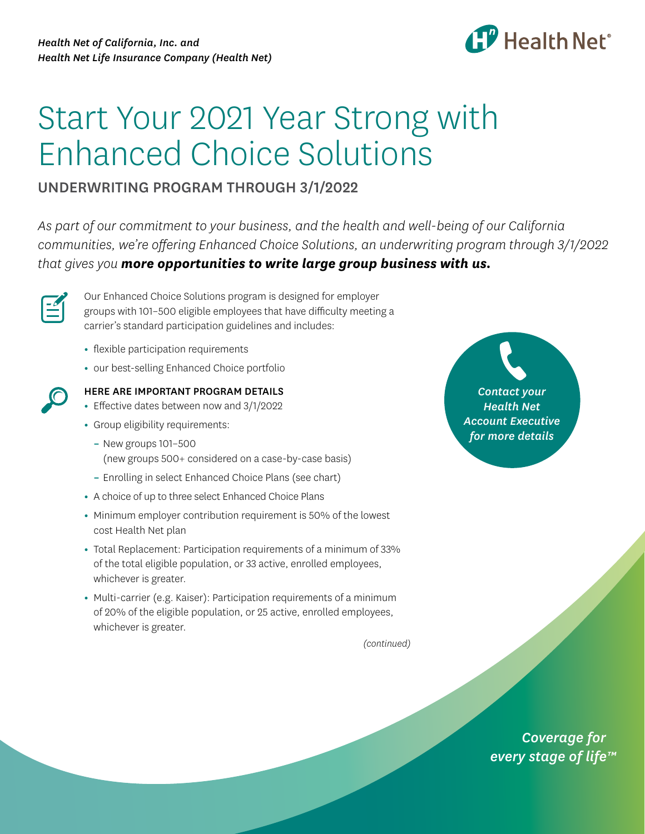

## Start Your 2021 Year Strong with Enhanced Choice Solutions

## UNDERWRITING PROGRAM THROUGH 3/1/2022

*As part of our commitment to your business, and the health and well-being of our California communities, we're offering Enhanced Choice Solutions, an underwriting program through 3/1/2022 that gives you more opportunities to write large group business with us.* 



Our Enhanced Choice Solutions program is designed for employer groups with 101–500 eligible employees that have difficulty meeting a carrier's standard participation guidelines and includes:

- **•** flexible participation requirements
- **•** our best-selling Enhanced Choice portfolio



## HERE ARE IMPORTANT PROGRAM DETAILS

- **•** Effective dates between now and 3/1/2022
- **•** Group eligibility requirements:
	- **–** New groups 101–500 (new groups 500+ considered on a case-by-case basis)
	- **–** Enrolling in select Enhanced Choice Plans (see chart)
- **•** A choice of up to three select Enhanced Choice Plans
- **•** Minimum employer contribution requirement is 50% of the lowest cost Health Net plan
- **•** Total Replacement: Participation requirements of a minimum of 33% of the total eligible population, or 33 active, enrolled employees, whichever is greater.
- **•** Multi-carrier (e.g. Kaiser): Participation requirements of a minimum of 20% of the eligible population, or 25 active, enrolled employees, whichever is greater.

*(continued)* 

*Contact your Health Net Account Executive for more details* 

> *Coverage for every stage of life™*